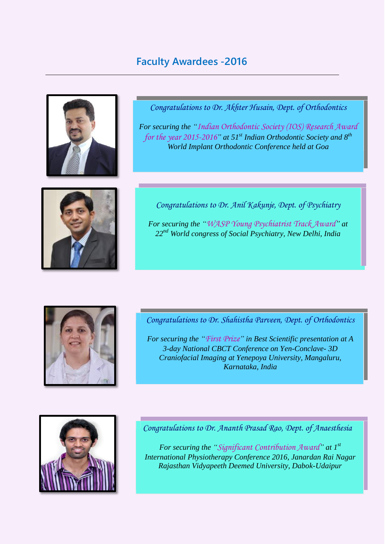## **Faculty Awardees -2016**



*Congratulations to Dr. Akhter Husain, Dept. of Orthodontics*

*For securing the "Indian Orthodontic Society (IOS) Research Award for the year 2015-2016" at 51st Indian Orthodontic Society and 8 th World Implant Orthodontic Conference held at Goa*



*Congratulations to Dr. Anil Kakunje, Dept. of Psychiatry*

*For securing the "WASP Young Psychiatrist Track Award" at 22 nd World congress of Social Psychiatry, New Delhi, India*



*Congratulations to Dr. Shahistha Parveen, Dept. of Orthodontics*

*For securing the "First Prize" in Best Scientific presentation at A 3-day National CBCT Conference on Yen-Conclave- 3D Craniofacial Imaging at Yenepoya University, Mangaluru, Karnataka, India*



*Congratulations to Dr. Ananth Prasad Rao, Dept. of Anaesthesia*

*For securing the "Significant Contribution Award" at 1st International Physiotherapy Conference 2016, Janardan Rai Nagar Rajasthan Vidyapeeth Deemed University, Dabok-Udaipur*